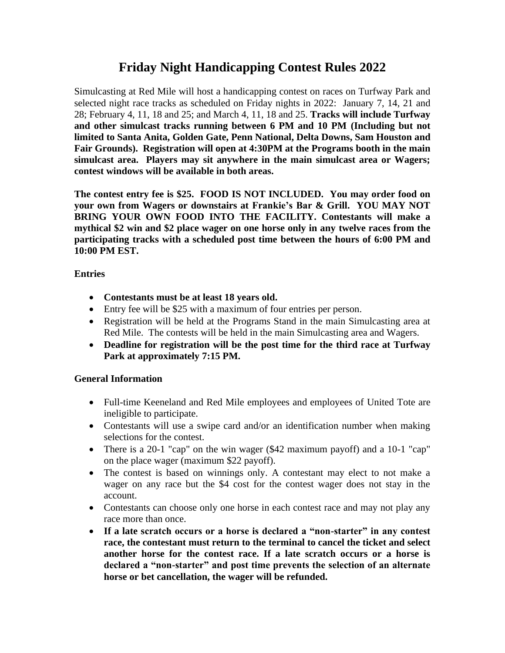## **Friday Night Handicapping Contest Rules 2022**

Simulcasting at Red Mile will host a handicapping contest on races on Turfway Park and selected night race tracks as scheduled on Friday nights in 2022: January 7, 14, 21 and 28; February 4, 11, 18 and 25; and March 4, 11, 18 and 25. **Tracks will include Turfway and other simulcast tracks running between 6 PM and 10 PM (Including but not limited to Santa Anita, Golden Gate, Penn National, Delta Downs, Sam Houston and Fair Grounds). Registration will open at 4:30PM at the Programs booth in the main simulcast area. Players may sit anywhere in the main simulcast area or Wagers; contest windows will be available in both areas.** 

**The contest entry fee is \$25. FOOD IS NOT INCLUDED. You may order food on your own from Wagers or downstairs at Frankie's Bar & Grill. YOU MAY NOT BRING YOUR OWN FOOD INTO THE FACILITY. Contestants will make a mythical \$2 win and \$2 place wager on one horse only in any twelve races from the participating tracks with a scheduled post time between the hours of 6:00 PM and 10:00 PM EST.**

**Entries**

- **Contestants must be at least 18 years old.**
- Entry fee will be \$25 with a maximum of four entries per person.
- Registration will be held at the Programs Stand in the main Simulcasting area at Red Mile. The contests will be held in the main Simulcasting area and Wagers.
- **Deadline for registration will be the post time for the third race at Turfway Park at approximately 7:15 PM.**

## **General Information**

- Full-time Keeneland and Red Mile employees and employees of United Tote are ineligible to participate.
- Contestants will use a swipe card and/or an identification number when making selections for the contest.
- There is a 20-1 "cap" on the win wager (\$42 maximum payoff) and a 10-1 "cap" on the place wager (maximum \$22 payoff).
- The contest is based on winnings only. A contestant may elect to not make a wager on any race but the \$4 cost for the contest wager does not stay in the account.
- Contestants can choose only one horse in each contest race and may not play any race more than once.
- **If a late scratch occurs or a horse is declared a "non-starter" in any contest race, the contestant must return to the terminal to cancel the ticket and select another horse for the contest race. If a late scratch occurs or a horse is declared a "non-starter" and post time prevents the selection of an alternate horse or bet cancellation, the wager will be refunded.**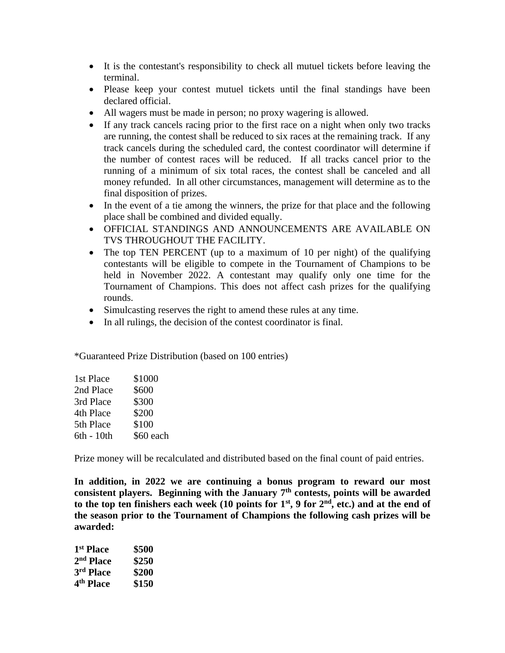- It is the contestant's responsibility to check all mutuel tickets before leaving the terminal.
- Please keep your contest mutuel tickets until the final standings have been declared official.
- All wagers must be made in person; no proxy wagering is allowed.
- If any track cancels racing prior to the first race on a night when only two tracks are running, the contest shall be reduced to six races at the remaining track. If any track cancels during the scheduled card, the contest coordinator will determine if the number of contest races will be reduced. If all tracks cancel prior to the running of a minimum of six total races, the contest shall be canceled and all money refunded. In all other circumstances, management will determine as to the final disposition of prizes.
- In the event of a tie among the winners, the prize for that place and the following place shall be combined and divided equally.
- OFFICIAL STANDINGS AND ANNOUNCEMENTS ARE AVAILABLE ON TVS THROUGHOUT THE FACILITY.
- The top TEN PERCENT (up to a maximum of 10 per night) of the qualifying contestants will be eligible to compete in the Tournament of Champions to be held in November 2022. A contestant may qualify only one time for the Tournament of Champions. This does not affect cash prizes for the qualifying rounds.
- Simulcasting reserves the right to amend these rules at any time.
- In all rulings, the decision of the contest coordinator is final.

\*Guaranteed Prize Distribution (based on 100 entries)

| \$1000    |
|-----------|
| \$600     |
| \$300     |
| \$200     |
| \$100     |
| \$60 each |
|           |

Prize money will be recalculated and distributed based on the final count of paid entries.

**In addition, in 2022 we are continuing a bonus program to reward our most**  consistent players. Beginning with the January 7<sup>th</sup> contests, points will be awarded to the top ten finishers each week (10 points for  $1<sup>st</sup>$ , 9 for  $2<sup>nd</sup>$ , etc.) and at the end of **the season prior to the Tournament of Champions the following cash prizes will be awarded:**

| 1 <sup>st</sup> Place | \$500 |
|-----------------------|-------|
| 2 <sup>nd</sup> Place | \$250 |
| 3rd Place             | \$200 |
| 4 <sup>th</sup> Place | \$150 |